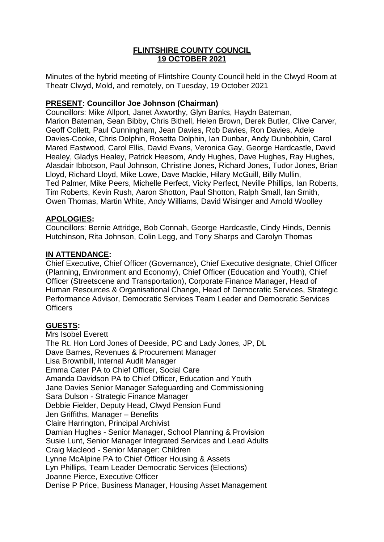# **FLINTSHIRE COUNTY COUNCIL 19 OCTOBER 2021**

Minutes of the hybrid meeting of Flintshire County Council held in the Clwyd Room at Theatr Clwyd, Mold, and remotely, on Tuesday, 19 October 2021

# **PRESENT: Councillor Joe Johnson (Chairman)**

Councillors: Mike Allport, Janet Axworthy, Glyn Banks, Haydn Bateman, Marion Bateman, Sean Bibby, Chris Bithell, Helen Brown, Derek Butler, Clive Carver, Geoff Collett, Paul Cunningham, Jean Davies, Rob Davies, Ron Davies, Adele Davies-Cooke, Chris Dolphin, Rosetta Dolphin, Ian Dunbar, Andy Dunbobbin, Carol Mared Eastwood, Carol Ellis, David Evans, Veronica Gay, George Hardcastle, David Healey, Gladys Healey, Patrick Heesom, Andy Hughes, Dave Hughes, Ray Hughes, Alasdair Ibbotson, Paul Johnson, Christine Jones, Richard Jones, Tudor Jones, Brian Lloyd, Richard Lloyd, Mike Lowe, Dave Mackie, Hilary McGuill, Billy Mullin, Ted Palmer, Mike Peers, Michelle Perfect, Vicky Perfect, Neville Phillips, Ian Roberts, Tim Roberts, Kevin Rush, Aaron Shotton, Paul Shotton, Ralph Small, Ian Smith, Owen Thomas, Martin White, Andy Williams, David Wisinger and Arnold Woolley

# **APOLOGIES:**

Councillors: Bernie Attridge, Bob Connah, George Hardcastle, Cindy Hinds, Dennis Hutchinson, Rita Johnson, Colin Legg, and Tony Sharps and Carolyn Thomas

# **IN ATTENDANCE:**

Chief Executive, Chief Officer (Governance), Chief Executive designate, Chief Officer (Planning, Environment and Economy), Chief Officer (Education and Youth), Chief Officer (Streetscene and Transportation), Corporate Finance Manager, Head of Human Resources & Organisational Change, Head of Democratic Services, Strategic Performance Advisor, Democratic Services Team Leader and Democratic Services **Officers** 

## **GUESTS:**

Mrs Isobel Everett The Rt. Hon Lord Jones of Deeside, PC and Lady Jones, JP, DL Dave Barnes, Revenues & Procurement Manager Lisa Brownbill, Internal Audit Manager Emma Cater PA to Chief Officer, Social Care Amanda Davidson PA to Chief Officer, Education and Youth Jane Davies Senior Manager Safeguarding and Commissioning Sara Dulson - Strategic Finance Manager Debbie Fielder, Deputy Head, Clwyd Pension Fund Jen Griffiths, Manager – Benefits Claire Harrington, Principal Archivist Damian Hughes - Senior Manager, School Planning & Provision Susie Lunt, Senior Manager Integrated Services and Lead Adults Craig Macleod - Senior Manager: Children Lynne McAlpine PA to Chief Officer Housing & Assets Lyn Phillips, Team Leader Democratic Services (Elections) Joanne Pierce, Executive Officer Denise P Price, Business Manager, Housing Asset Management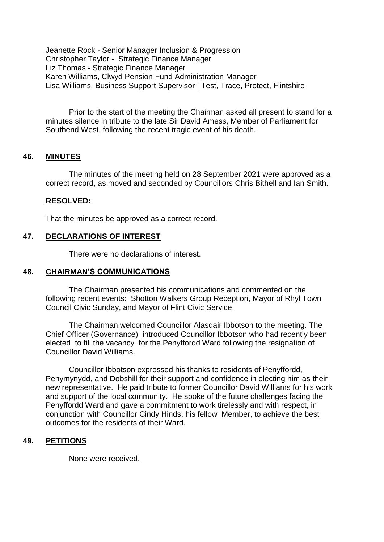Jeanette Rock - Senior Manager Inclusion & Progression Christopher Taylor - Strategic Finance Manager Liz Thomas - Strategic Finance Manager Karen Williams, Clwyd Pension Fund Administration Manager Lisa Williams, Business Support Supervisor | Test, Trace, Protect, Flintshire

Prior to the start of the meeting the Chairman asked all present to stand for a minutes silence in tribute to the late Sir David Amess, Member of Parliament for Southend West, following the recent tragic event of his death.

## **46. MINUTES**

The minutes of the meeting held on 28 September 2021 were approved as a correct record, as moved and seconded by Councillors Chris Bithell and Ian Smith.

#### **RESOLVED:**

That the minutes be approved as a correct record.

# **47. DECLARATIONS OF INTEREST**

There were no declarations of interest.

#### **48. CHAIRMAN'S COMMUNICATIONS**

The Chairman presented his communications and commented on the following recent events: Shotton Walkers Group Reception, Mayor of Rhyl Town Council Civic Sunday, and Mayor of Flint Civic Service.

The Chairman welcomed Councillor Alasdair Ibbotson to the meeting. The Chief Officer (Governance) introduced Councillor Ibbotson who had recently been elected to fill the vacancy for the Penyffordd Ward following the resignation of Councillor David Williams.

Councillor Ibbotson expressed his thanks to residents of Penyffordd, Penymynydd, and Dobshill for their support and confidence in electing him as their new representative. He paid tribute to former Councillor David Williams for his work and support of the local community. He spoke of the future challenges facing the Penyffordd Ward and gave a commitment to work tirelessly and with respect, in conjunction with Councillor Cindy Hinds, his fellow Member, to achieve the best outcomes for the residents of their Ward.

#### **49. PETITIONS**

None were received.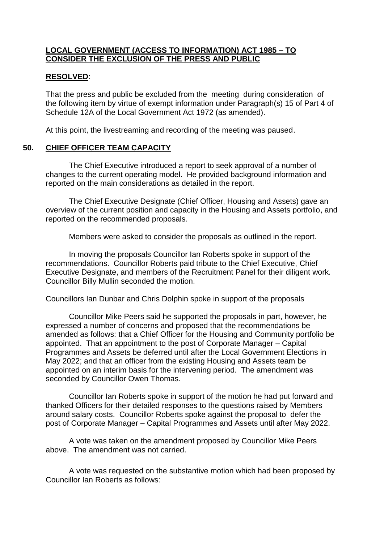## **LOCAL GOVERNMENT (ACCESS TO INFORMATION) ACT 1985 – TO CONSIDER THE EXCLUSION OF THE PRESS AND PUBLIC**

### **RESOLVED**:

That the press and public be excluded from the meeting during consideration of the following item by virtue of exempt information under Paragraph(s) 15 of Part 4 of Schedule 12A of the Local Government Act 1972 (as amended).

At this point, the livestreaming and recording of the meeting was paused.

### **50. CHIEF OFFICER TEAM CAPACITY**

The Chief Executive introduced a report to seek approval of a number of changes to the current operating model. He provided background information and reported on the main considerations as detailed in the report.

The Chief Executive Designate (Chief Officer, Housing and Assets) gave an overview of the current position and capacity in the Housing and Assets portfolio, and reported on the recommended proposals.

Members were asked to consider the proposals as outlined in the report.

In moving the proposals Councillor Ian Roberts spoke in support of the recommendations. Councillor Roberts paid tribute to the Chief Executive, Chief Executive Designate, and members of the Recruitment Panel for their diligent work. Councillor Billy Mullin seconded the motion.

Councillors Ian Dunbar and Chris Dolphin spoke in support of the proposals

Councillor Mike Peers said he supported the proposals in part, however, he expressed a number of concerns and proposed that the recommendations be amended as follows: that a Chief Officer for the Housing and Community portfolio be appointed. That an appointment to the post of Corporate Manager – Capital Programmes and Assets be deferred until after the Local Government Elections in May 2022; and that an officer from the existing Housing and Assets team be appointed on an interim basis for the intervening period. The amendment was seconded by Councillor Owen Thomas.

Councillor Ian Roberts spoke in support of the motion he had put forward and thanked Officers for their detailed responses to the questions raised by Members around salary costs. Councillor Roberts spoke against the proposal to defer the post of Corporate Manager – Capital Programmes and Assets until after May 2022.

A vote was taken on the amendment proposed by Councillor Mike Peers above. The amendment was not carried.

A vote was requested on the substantive motion which had been proposed by Councillor Ian Roberts as follows: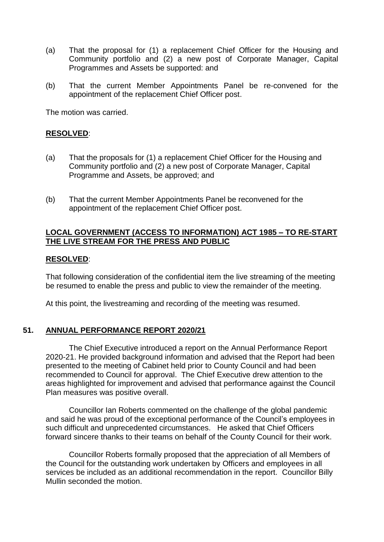- (a) That the proposal for (1) a replacement Chief Officer for the Housing and Community portfolio and (2) a new post of Corporate Manager, Capital Programmes and Assets be supported: and
- (b) That the current Member Appointments Panel be re-convened for the appointment of the replacement Chief Officer post.

The motion was carried.

### **RESOLVED**:

- (a) That the proposals for (1) a replacement Chief Officer for the Housing and Community portfolio and (2) a new post of Corporate Manager, Capital Programme and Assets, be approved; and
- (b) That the current Member Appointments Panel be reconvened for the appointment of the replacement Chief Officer post.

# **LOCAL GOVERNMENT (ACCESS TO INFORMATION) ACT 1985 – TO RE-START THE LIVE STREAM FOR THE PRESS AND PUBLIC**

### **RESOLVED**:

That following consideration of the confidential item the live streaming of the meeting be resumed to enable the press and public to view the remainder of the meeting.

At this point, the livestreaming and recording of the meeting was resumed.

## **51. ANNUAL PERFORMANCE REPORT 2020/21**

The Chief Executive introduced a report on the Annual Performance Report 2020-21. He provided background information and advised that the Report had been presented to the meeting of Cabinet held prior to County Council and had been recommended to Council for approval. The Chief Executive drew attention to the areas highlighted for improvement and advised that performance against the Council Plan measures was positive overall.

Councillor Ian Roberts commented on the challenge of the global pandemic and said he was proud of the exceptional performance of the Council's employees in such difficult and unprecedented circumstances. He asked that Chief Officers forward sincere thanks to their teams on behalf of the County Council for their work.

Councillor Roberts formally proposed that the appreciation of all Members of the Council for the outstanding work undertaken by Officers and employees in all services be included as an additional recommendation in the report. Councillor Billy Mullin seconded the motion.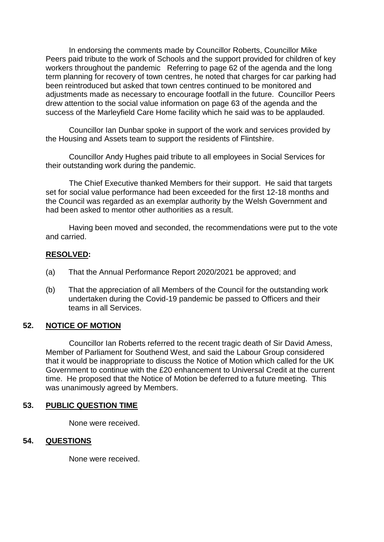In endorsing the comments made by Councillor Roberts, Councillor Mike Peers paid tribute to the work of Schools and the support provided for children of key workers throughout the pandemic Referring to page 62 of the agenda and the long term planning for recovery of town centres, he noted that charges for car parking had been reintroduced but asked that town centres continued to be monitored and adjustments made as necessary to encourage footfall in the future. Councillor Peers drew attention to the social value information on page 63 of the agenda and the success of the Marleyfield Care Home facility which he said was to be applauded.

Councillor Ian Dunbar spoke in support of the work and services provided by the Housing and Assets team to support the residents of Flintshire.

Councillor Andy Hughes paid tribute to all employees in Social Services for their outstanding work during the pandemic.

The Chief Executive thanked Members for their support. He said that targets set for social value performance had been exceeded for the first 12-18 months and the Council was regarded as an exemplar authority by the Welsh Government and had been asked to mentor other authorities as a result.

Having been moved and seconded, the recommendations were put to the vote and carried.

## **RESOLVED:**

- (a) That the Annual Performance Report 2020/2021 be approved; and
- (b) That the appreciation of all Members of the Council for the outstanding work undertaken during the Covid-19 pandemic be passed to Officers and their teams in all Services.

## **52. NOTICE OF MOTION**

Councillor Ian Roberts referred to the recent tragic death of Sir David Amess, Member of Parliament for Southend West, and said the Labour Group considered that it would be inappropriate to discuss the Notice of Motion which called for the UK Government to continue with the £20 enhancement to Universal Credit at the current time. He proposed that the Notice of Motion be deferred to a future meeting. This was unanimously agreed by Members.

## **53. PUBLIC QUESTION TIME**

None were received.

## **54. QUESTIONS**

None were received.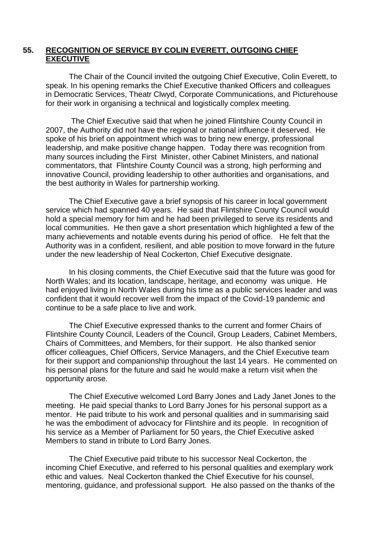## **55. RECOGNITION OF SERVICE BY COLIN EVERETT, OUTGOING CHIEF EXECUTIVE**

The Chair of the Council invited the outgoing Chief Executive, Colin Everett, to speak. In his opening remarks the Chief Executive thanked Officers and colleagues in Democratic Services, Theatr Clwyd, Corporate Communications, and Picturehouse for their work in organising a technical and logistically complex meeting.

The Chief Executive said that when he joined Flintshire County Council in 2007, the Authority did not have the regional or national influence it deserved. He spoke of his brief on appointment which was to bring new energy, professional leadership, and make positive change happen. Today there was recognition from many sources including the First Minister, other Cabinet Ministers, and national commentators, that Flintshire County Council was a strong, high performing and innovative Council, providing leadership to other authorities and organisations, and the best authority in Wales for partnership working.

The Chief Executive gave a brief synopsis of his career in local government service which had spanned 40 years. He said that Flintshire County Council would hold a special memory for him and he had been privileged to serve its residents and local communities. He then gave a short presentation which highlighted a few of the many achievements and notable events during his period of office. He felt that the Authority was in a confident, resilient, and able position to move forward in the future under the new leadership of Neal Cockerton, Chief Executive designate.

In his closing comments, the Chief Executive said that the future was good for North Wales; and its location, landscape, heritage, and economy was unique. He had enjoyed living in North Wales during his time as a public services leader and was confident that it would recover well from the impact of the Covid-19 pandemic and continue to be a safe place to live and work.

The Chief Executive expressed thanks to the current and former Chairs of Flintshire County Council, Leaders of the Council, Group Leaders, Cabinet Members, Chairs of Committees, and Members, for their support. He also thanked senior officer colleagues, Chief Officers, Service Managers, and the Chief Executive team for their support and companionship throughout the last 14 years. He commented on his personal plans for the future and said he would make a return visit when the opportunity arose.

The Chief Executive welcomed Lord Barry Jones and Lady Janet Jones to the meeting. He paid special thanks to Lord Barry Jones for his personal support as a mentor. He paid tribute to his work and personal qualities and in summarising said he was the embodiment of advocacy for Flintshire and its people. In recognition of his service as a Member of Parliament for 50 years, the Chief Executive asked Members to stand in tribute to Lord Barry Jones.

The Chief Executive paid tribute to his successor Neal Cockerton, the incoming Chief Executive, and referred to his personal qualities and exemplary work ethic and values. Neal Cockerton thanked the Chief Executive for his counsel, mentoring, guidance, and professional support. He also passed on the thanks of the